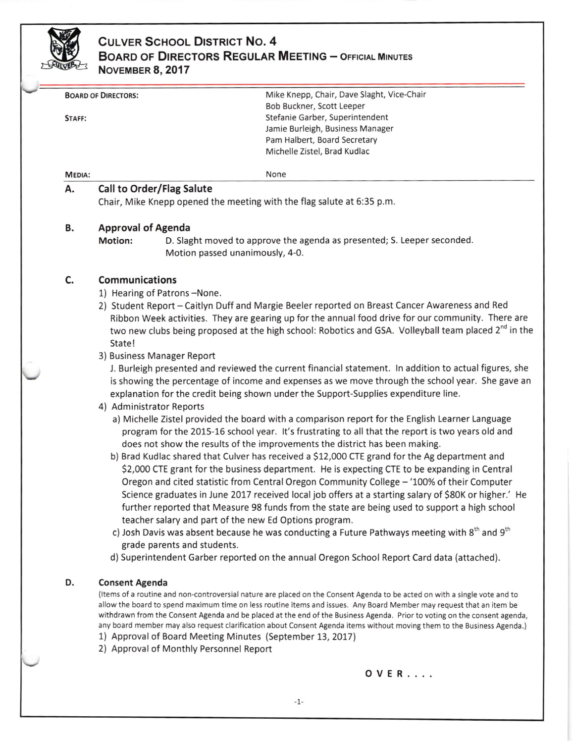

## **CULVER SCHOOL DISTRICT NO. 4** BOARD OF DIRECTORS REGULAR MEETING - OFFICIAL MINUTES NoVEMBER 8, 2017

|               | Mike Knepp, Chair, Dave Slaght, Vice-Chair<br><b>BOARD OF DIRECTORS:</b>                                                                             |
|---------------|------------------------------------------------------------------------------------------------------------------------------------------------------|
|               | Bob Buckner, Scott Leeper                                                                                                                            |
| STAFF:        | Stefanie Garber, Superintendent                                                                                                                      |
|               | Jamie Burleigh, Business Manager<br>Pam Halbert, Board Secretary                                                                                     |
|               | Michelle Zistel, Brad Kudlac                                                                                                                         |
|               |                                                                                                                                                      |
| <b>MEDIA:</b> | None                                                                                                                                                 |
| А.            | Call to Order/Flag Salute                                                                                                                            |
|               | Chair, Mike Knepp opened the meeting with the flag salute at 6:35 p.m.                                                                               |
| В.            | <b>Approval of Agenda</b>                                                                                                                            |
|               | D. Slaght moved to approve the agenda as presented; S. Leeper seconded.<br><b>Motion:</b>                                                            |
|               | Motion passed unanimously, 4-0.                                                                                                                      |
|               |                                                                                                                                                      |
| C.            | <b>Communications</b><br>1) Hearing of Patrons-None.                                                                                                 |
|               | 2) Student Report – Caitlyn Duff and Margie Beeler reported on Breast Cancer Awareness and Red                                                       |
|               | Ribbon Week activities. They are gearing up for the annual food drive for our community. There are                                                   |
|               | two new clubs being proposed at the high school: Robotics and GSA. Volleyball team placed 2 <sup>nd</sup> in the                                     |
|               | State!                                                                                                                                               |
|               |                                                                                                                                                      |
|               | 3) Business Manager Report<br>J. Burleigh presented and reviewed the current financial statement. In addition to actual figures, she                 |
|               | is showing the percentage of income and expenses as we move through the school year. She gave an                                                     |
|               | explanation for the credit being shown under the Support-Supplies expenditure line.                                                                  |
|               |                                                                                                                                                      |
|               | 4) Administrator Reports                                                                                                                             |
|               | a) Michelle Zistel provided the board with a comparison report for the English Learner Language                                                      |
|               | program for the 2015-16 school year. It's frustrating to all that the report is two years old and                                                    |
|               | does not show the results of the improvements the district has been making.                                                                          |
|               | b) Brad Kudlac shared that Culver has received a \$12,000 CTE grand for the Ag department and                                                        |
|               | \$2,000 CTE grant for the business department. He is expecting CTE to be expanding in Central                                                        |
|               | Oregon and cited statistic from Central Oregon Community College - '100% of their Computer                                                           |
|               | Science graduates in June 2017 received local job offers at a starting salary of \$80K or higher.' He                                                |
|               | further reported that Measure 98 funds from the state are being used to support a high school                                                        |
|               | teacher salary and part of the new Ed Options program.                                                                                               |
|               | c) Josh Davis was absent because he was conducting a Future Pathways meeting with 8 <sup>th</sup> and 9 <sup>th</sup><br>grade parents and students. |
|               | d) Superintendent Garber reported on the annual Oregon School Report Card data (attached).                                                           |
| D.            | <b>Consent Agenda</b>                                                                                                                                |
|               | (Items of a routine and non-controversial nature are placed on the Consent Agenda to be acted on with a single vote and to                           |
|               | allow the board to spend maximum time on less routine items and issues. Any Board Member may request that an item be                                 |
|               | withdrawn from the Consent Agenda and be placed at the end of the Business Agenda. Prior to voting on the consent agenda,                            |
|               | any board member may also request clarification about Consent Agenda items without moving them to the Business Agenda.)                              |

- 1) Approval of Board Meeting Minutes (September 13,2017)
- 2) Approval of Monthly Personnel Report

OVER....